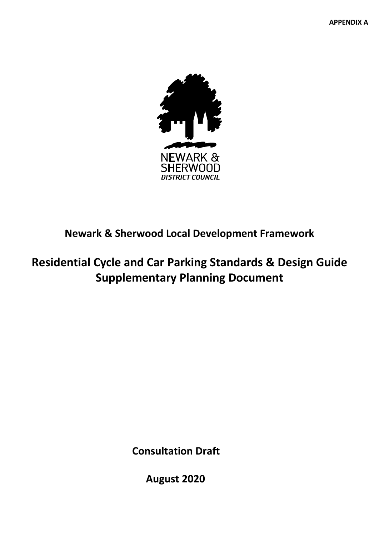

# **Newark & Sherwood Local Development Framework**

# **Residential Cycle and Car Parking Standards & Design Guide Supplementary Planning Document**

**Consultation Draft**

**August 2020**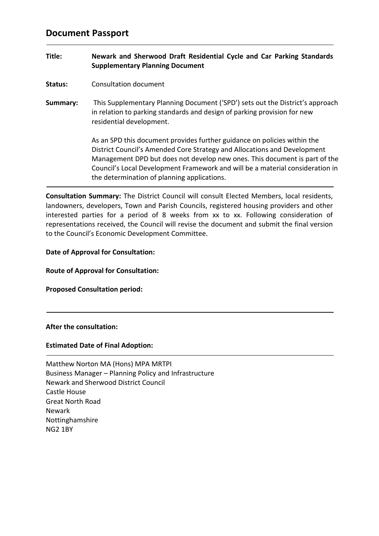# **Document Passport**

# **Title: Newark and Sherwood Draft Residential Cycle and Car Parking Standards Supplementary Planning Document**

- **Status:** Consultation document
- **Summary:** This Supplementary Planning Document ('SPD') sets out the District's approach in relation to parking standards and design of parking provision for new residential development.

As an SPD this document provides further guidance on policies within the District Council's Amended Core Strategy and Allocations and Development Management DPD but does not develop new ones. This document is part of the Council's Local Development Framework and will be a material consideration in the determination of planning applications.

**Consultation Summary:** The District Council will consult Elected Members, local residents, landowners, developers, Town and Parish Councils, registered housing providers and other interested parties for a period of 8 weeks from xx to xx. Following consideration of representations received, the Council will revise the document and submit the final version to the Council's Economic Development Committee.

# **Date of Approval for Consultation:**

### **Route of Approval for Consultation:**

**Proposed Consultation period:**

### **After the consultation:**

# **Estimated Date of Final Adoption:**

| Matthew Norton MA (Hons) MPA MRTPI                    |
|-------------------------------------------------------|
| Business Manager – Planning Policy and Infrastructure |
| <b>Newark and Sherwood District Council</b>           |
| Castle House                                          |
| Great North Road                                      |
| <b>Newark</b>                                         |
| Nottinghamshire                                       |
| <b>NG2 1BY</b>                                        |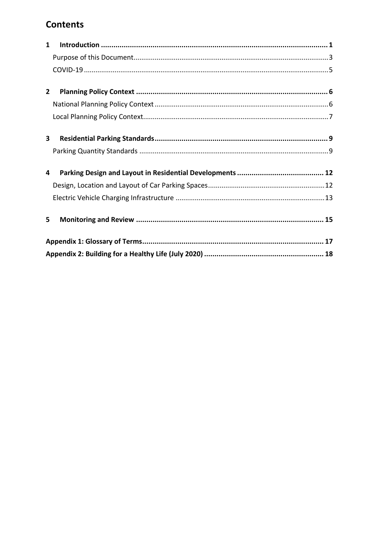# **Contents**

| $\mathbf{1}$            |  |
|-------------------------|--|
|                         |  |
|                         |  |
|                         |  |
| $\mathbf{2}$            |  |
|                         |  |
|                         |  |
|                         |  |
| $\overline{\mathbf{3}}$ |  |
|                         |  |
| 4                       |  |
|                         |  |
|                         |  |
| 5                       |  |
|                         |  |
|                         |  |
|                         |  |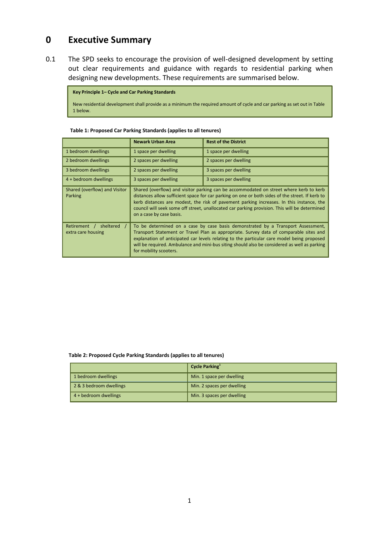# <span id="page-3-0"></span>**0 Executive Summary**

0.1 The SPD seeks to encourage the provision of well-designed development by setting out clear requirements and guidance with regards to residential parking when designing new developments. These requirements are summarised below.

**Key Principle 1– Cycle and Car Parking Standards** New residential development shall provide as a minimum the required amount of cycle and car parking as set out in Table 1 below.

| Table 1: Proposed Car Parking Standards (applies to all tenures) |  |
|------------------------------------------------------------------|--|
|------------------------------------------------------------------|--|

|                                                 | <b>Newark Urban Area</b>                                                                                                                                                                                                                                                                                                                                                                                           | <b>Rest of the District</b> |  |
|-------------------------------------------------|--------------------------------------------------------------------------------------------------------------------------------------------------------------------------------------------------------------------------------------------------------------------------------------------------------------------------------------------------------------------------------------------------------------------|-----------------------------|--|
| 1 bedroom dwellings                             | 1 space per dwelling                                                                                                                                                                                                                                                                                                                                                                                               | 1 space per dwelling        |  |
| 2 bedroom dwellings                             | 2 spaces per dwelling                                                                                                                                                                                                                                                                                                                                                                                              | 2 spaces per dwelling       |  |
| 3 bedroom dwellings                             | 2 spaces per dwelling                                                                                                                                                                                                                                                                                                                                                                                              | 3 spaces per dwelling       |  |
| 4 + bedroom dwellings                           | 3 spaces per dwelling                                                                                                                                                                                                                                                                                                                                                                                              | 3 spaces per dwelling       |  |
| Shared (overflow) and Visitor<br>Parking        | Shared (overflow) and visitor parking can be accommodated on street where kerb to kerb<br>distances allow sufficient space for car parking on one or both sides of the street. If kerb to<br>kerb distances are modest, the risk of pavement parking increases. In this instance, the<br>council will seek some off street, unallocated car parking provision. This will be determined<br>on a case by case basis. |                             |  |
| sheltered<br>Retirement /<br>extra care housing | To be determined on a case by case basis demonstrated by a Transport Assessment,<br>Transport Statement or Travel Plan as appropriate. Survey data of comparable sites and<br>explanation of anticipated car levels relating to the particular care model being proposed<br>will be required. Ambulance and mini-bus siting should also be considered as well as parking<br>for mobility scooters.                 |                             |  |

#### **Table 2: Proposed Cycle Parking Standards (applies to all tenures)**

|                         | Cycle Parking              |
|-------------------------|----------------------------|
| 1 bedroom dwellings     | Min. 1 space per dwelling  |
| 2 & 3 bedroom dwellings | Min. 2 spaces per dwelling |
| 4 + bedroom dwellings   | Min. 3 spaces per dwelling |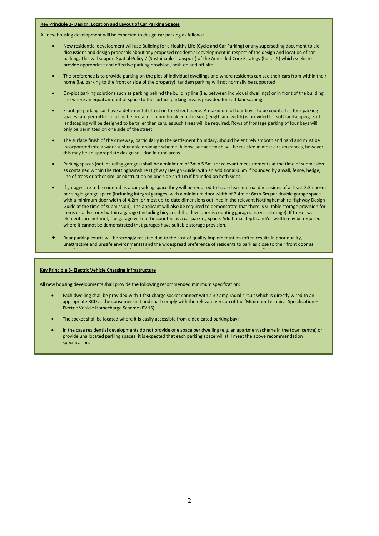#### **Key Principle 2- Design, Location and Layout of Car Parking Spaces**

All new housing development will be expected to design car parking as follows:

- New residential development will use Building for a Healthy Life (Cycle and Car Parking) or any superseding document to aid discussions and design proposals about any proposed residential development in respect of the design and location of car parking. This will support Spatial Policy 7 (Sustainable Transport) of the Amended Core Strategy (bullet 5) which seeks to provide appropriate and effective parking provision, both on and off-site.
- The preference is to provide parking on the plot of individual dwellings and where residents can see their cars from within their home (i.e. parking to the front or side of the property); tandem parking will not normally be supported;
- On-plot parking solutions such as parking behind the building line (i.e. between individual dwellings) or in front of the building line where an equal amount of space to the surface parking area is provided for soft landscaping;
- Frontage parking can have a detrimental effect on the street scene. A maximum of four bays (to be counted as four parking spaces) are permitted in a line before a minimum break equal in size (length and width) is provided for soft landscaping. Soft landscaping will be designed to be taller than cars, as such trees will be required. Rows of frontage parking of four bays will only be permitted on one side of the street.
- The surface finish of the driveway, particularly in the settlement boundary, should be entirely smooth and hard and must be incorporated into a wider sustainable drainage scheme. A loose surface finish will be resisted in most circumstances, however this may be an appropriate design solution in rural areas.
- Parking spaces (not including garages) shall be a minimum of 3m x 5.5m (or relevant measurements at the time of submission as contained within the Nottinghamshire Highway Design Guide) with an additional 0.5m if bounded by a wall, fence, hedge, line of trees or other similar obstruction on one side and 1m if bounded on both sides.
- If garages are to be counted as a car parking space they will be required to have clear internal dimensions of at least 3.3m x 6m per single garage space (including integral garages) with a minimum door width of 2.4m or 6m x 6m per double garage space with a minimum door width of 4.2m (or most up-to-date dimensions outlined in the relevant Nottinghamshire Highway Design Guide at the time of submission). The applicant will also be required to demonstrate that there is suitable storage provision for items usually stored within a garage (including bicycles if the developer is counting garages as cycle storage). If these two elements are not met, the garage will not be counted as a car parking space. Additional depth and/or width may be required where it cannot be demonstrated that garages have suitable storage provision.
- Rear parking courts will be strongly resisted due to the cost of quality implementation (often results in poor quality, unattractive and unsafe environments) and the widespread preference of residents to park as close to their front door as possible. Where they are used, they will be required to meet they will be required to meet the requirements se<br>Set out in Appendix 3.3 and 2.3 and 3.3 and 3.3 and 3.3 and 3.3 and 3.3 and 3.3 and 3.3 and 3.3 and 3.3 and 3.

#### **Key Principle 3- Electric Vehicle Charging Infrastructure**

All new housing developments shall provide the following recommended minimum specification:

- Each dwelling shall be provided with 1 fast charge socket connect with a 32 amp radial circuit which is directly wired to an appropriate RCD at the consumer unit and shall comply with the relevant version of the 'Minimum Technical Specification – Electric Vehicle Homecharge Scheme (EVHS)';
- The socket shall be located where it is easily accessible from a dedicated parking bay;
- In the case residential developments do not provide one space per dwelling (e.g. an apartment scheme in the town centre) or provide unallocated parking spaces, it is expected that each parking space will still meet the above recommendation specification.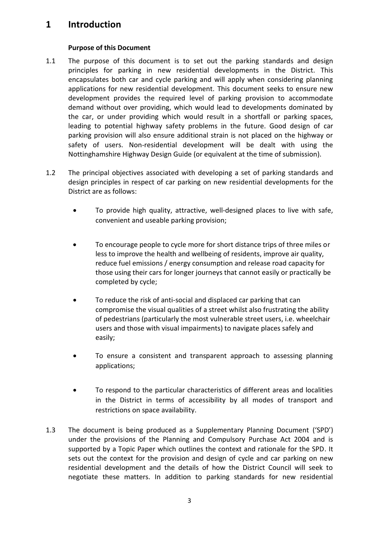# **1 Introduction**

# **Purpose of this Document**

- <span id="page-5-0"></span>1.1 The purpose of this document is to set out the parking standards and design principles for parking in new residential developments in the District. This encapsulates both car and cycle parking and will apply when considering planning applications for new residential development. This document seeks to ensure new development provides the required level of parking provision to accommodate demand without over providing, which would lead to developments dominated by the car, or under providing which would result in a shortfall or parking spaces, leading to potential highway safety problems in the future. Good design of car parking provision will also ensure additional strain is not placed on the highway or safety of users. Non-residential development will be dealt with using the Nottinghamshire Highway Design Guide (or equivalent at the time of submission).
- 1.2 The principal objectives associated with developing a set of parking standards and design principles in respect of car parking on new residential developments for the District are as follows:
	- To provide high quality, attractive, well-designed places to live with safe, convenient and useable parking provision;
	- To encourage people to cycle more for short distance trips of three miles or less to improve the health and wellbeing of residents, improve air quality, reduce fuel emissions / energy consumption and release road capacity for those using their cars for longer journeys that cannot easily or practically be completed by cycle;
	- To reduce the risk of anti-social and displaced car parking that can compromise the visual qualities of a street whilst also frustrating the ability of pedestrians (particularly the most vulnerable street users, i.e. wheelchair users and those with visual impairments) to navigate places safely and easily;
	- To ensure a consistent and transparent approach to assessing planning applications;
	- To respond to the particular characteristics of different areas and localities in the District in terms of accessibility by all modes of transport and restrictions on space availability.
- 1.3 The document is being produced as a Supplementary Planning Document ('SPD') under the provisions of the Planning and Compulsory Purchase Act 2004 and is supported by a Topic Paper which outlines the context and rationale for the SPD. It sets out the context for the provision and design of cycle and car parking on new residential development and the details of how the District Council will seek to negotiate these matters. In addition to parking standards for new residential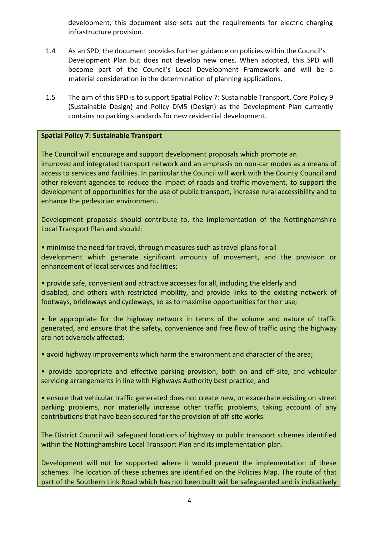development, this document also sets out the requirements for electric charging infrastructure provision.

- 1.4 As an SPD, the document provides further guidance on policies within the Council's Development Plan but does not develop new ones. When adopted, this SPD will become part of the Council's Local Development Framework and will be a material consideration in the determination of planning applications.
- 1.5 The aim of this SPD is to support Spatial Policy 7: Sustainable Transport, Core Policy 9 (Sustainable Design) and Policy DM5 (Design) as the Development Plan currently contains no parking standards for new residential development.

# **Spatial Policy 7: Sustainable Transport**

The Council will encourage and support development proposals which promote an improved and integrated transport network and an emphasis on non-car modes as a means of access to services and facilities. In particular the Council will work with the County Council and other relevant agencies to reduce the impact of roads and traffic movement, to support the development of opportunities for the use of public transport, increase rural accessibility and to enhance the pedestrian environment.

Development proposals should contribute to, the implementation of the Nottinghamshire Local Transport Plan and should:

• minimise the need for travel, through measures such as travel plans for all development which generate significant amounts of movement, and the provision or enhancement of local services and facilities;

• provide safe, convenient and attractive accesses for all, including the elderly and disabled, and others with restricted mobility, and provide links to the existing network of footways, bridleways and cycleways, so as to maximise opportunities for their use;

• be appropriate for the highway network in terms of the volume and nature of traffic generated, and ensure that the safety, convenience and free flow of traffic using the highway are not adversely affected;

• avoid highway improvements which harm the environment and character of the area;

• provide appropriate and effective parking provision, both on and off-site, and vehicular servicing arrangements in line with Highways Authority best practice; and

• ensure that vehicular traffic generated does not create new, or exacerbate existing on street parking problems, nor materially increase other traffic problems, taking account of any contributions that have been secured for the provision of off-site works.

The District Council will safeguard locations of highway or public transport schemes identified within the Nottinghamshire Local Transport Plan and its implementation plan.

Development will not be supported where it would prevent the implementation of these schemes. The location of these schemes are identified on the Policies Map. The route of that part of the Southern Link Road which has not been built will be safeguarded and is indicatively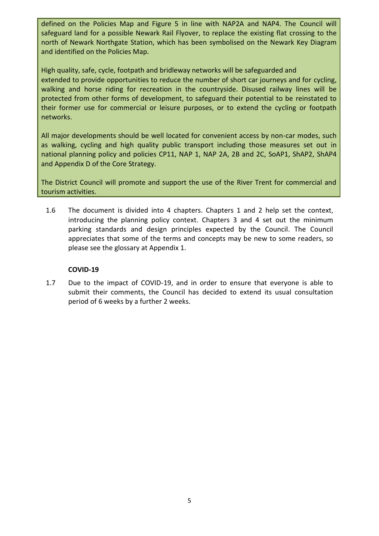defined on the Policies Map and Figure 5 in line with NAP2A and NAP4. The Council will safeguard land for a possible Newark Rail Flyover, to replace the existing flat crossing to the north of Newark Northgate Station, which has been symbolised on the Newark Key Diagram and identified on the Policies Map.

High quality, safe, cycle, footpath and bridleway networks will be safeguarded and extended to provide opportunities to reduce the number of short car journeys and for cycling, walking and horse riding for recreation in the countryside. Disused railway lines will be protected from other forms of development, to safeguard their potential to be reinstated to their former use for commercial or leisure purposes, or to extend the cycling or footpath networks.

All major developments should be well located for convenient access by non-car modes, such as walking, cycling and high quality public transport including those measures set out in national planning policy and policies CP11, NAP 1, NAP 2A, 2B and 2C, SoAP1, ShAP2, ShAP4 and Appendix D of the Core Strategy.

The District Council will promote and support the use of the River Trent for commercial and tourism activities.

1.6 The document is divided into 4 chapters. Chapters 1 and 2 help set the context, introducing the planning policy context. Chapters 3 and 4 set out the minimum parking standards and design principles expected by the Council. The Council appreciates that some of the terms and concepts may be new to some readers, so please see the glossary at Appendix 1.

# **COVID-19**

<span id="page-7-0"></span>1.7 Due to the impact of COVID-19, and in order to ensure that everyone is able to submit their comments, the Council has decided to extend its usual consultation period of 6 weeks by a further 2 weeks.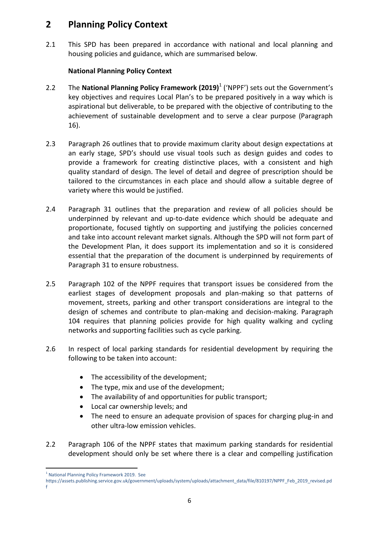# <span id="page-8-0"></span>**2 Planning Policy Context**

2.1 This SPD has been prepared in accordance with national and local planning and housing policies and guidance, which are summarised below.

# **National Planning Policy Context**

- <span id="page-8-1"></span>2.2 The **National Planning Policy Framework (2019)**<sup>1</sup> ('NPPF') sets out the Government's key objectives and requires Local Plan's to be prepared positively in a way which is aspirational but deliverable, to be prepared with the objective of contributing to the achievement of sustainable development and to serve a clear purpose (Paragraph 16).
- 2.3 Paragraph 26 outlines that to provide maximum clarity about design expectations at an early stage, SPD's should use visual tools such as design guides and codes to provide a framework for creating distinctive places, with a consistent and high quality standard of design. The level of detail and degree of prescription should be tailored to the circumstances in each place and should allow a suitable degree of variety where this would be justified.
- 2.4 Paragraph 31 outlines that the preparation and review of all policies should be underpinned by relevant and up-to-date evidence which should be adequate and proportionate, focused tightly on supporting and justifying the policies concerned and take into account relevant market signals. Although the SPD will not form part of the Development Plan, it does support its implementation and so it is considered essential that the preparation of the document is underpinned by requirements of Paragraph 31 to ensure robustness.
- 2.5 Paragraph 102 of the NPPF requires that transport issues be considered from the earliest stages of development proposals and plan-making so that patterns of movement, streets, parking and other transport considerations are integral to the design of schemes and contribute to plan-making and decision-making. Paragraph 104 requires that planning policies provide for high quality walking and cycling networks and supporting facilities such as cycle parking.
- 2.6 In respect of local parking standards for residential development by requiring the following to be taken into account:
	- The accessibility of the development;
	- The type, mix and use of the development:
	- The availability of and opportunities for public transport;
	- Local car ownership levels; and
	- The need to ensure an adequate provision of spaces for charging plug-in and other ultra-low emission vehicles.
- 2.2 Paragraph 106 of the NPPF states that maximum parking standards for residential development should only be set where there is a clear and compelling justification

1

<sup>&</sup>lt;sup>1</sup> National Planning Policy Framework 2019. See

https://assets.publishing.service.gov.uk/government/uploads/system/uploads/attachment\_data/file/810197/NPPF\_Feb\_2019\_revised.pd f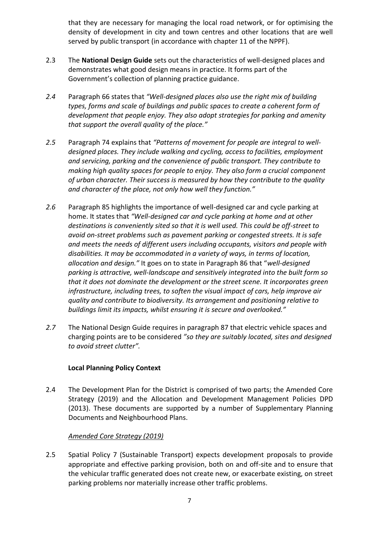that they are necessary for managing the local road network, or for optimising the density of development in city and town centres and other locations that are well served by public transport (in accordance with chapter 11 of the NPPF).

- 2.3 The **National Design Guide** sets out the characteristics of well-designed places and demonstrates what good design means in practice. It forms part of the Government's collection of planning practice guidance.
- *2.4* Paragraph 66 states that *"Well-designed places also use the right mix of building types, forms and scale of buildings and public spaces to create a coherent form of development that people enjoy. They also adopt strategies for parking and amenity that support the overall quality of the place."*
- *2.5* Paragraph 74 explains that *"Patterns of movement for people are integral to welldesigned places. They include walking and cycling, access to facilities, employment and servicing, parking and the convenience of public transport. They contribute to making high quality spaces for people to enjoy. They also form a crucial component of urban character. Their success is measured by how they contribute to the quality and character of the place, not only how well they function."*
- *2.6* Paragraph 85 highlights the importance of well-designed car and cycle parking at home. It states that *"Well-designed car and cycle parking at home and at other destinations is conveniently sited so that it is well used. This could be off-street to avoid on-street problems such as pavement parking or congested streets. It is safe and meets the needs of different users including occupants, visitors and people with disabilities. It may be accommodated in a variety of ways, in terms of location, allocation and design."* It goes on to state in Paragraph 86 that "*well-designed parking is attractive, well-landscape and sensitively integrated into the built form so that it does not dominate the development or the street scene. It incorporates green infrastructure, including trees, to soften the visual impact of cars, help improve air quality and contribute to biodiversity. Its arrangement and positioning relative to buildings limit its impacts, whilst ensuring it is secure and overlooked."*
- <span id="page-9-0"></span>*2.7* The National Design Guide requires in paragraph 87 that electric vehicle spaces and charging points are to be considered *"so they are suitably located, sites and designed to avoid street clutter".*

# **Local Planning Policy Context**

2.4 The Development Plan for the District is comprised of two parts; the Amended Core Strategy (2019) and the Allocation and Development Management Policies DPD (2013). These documents are supported by a number of Supplementary Planning Documents and Neighbourhood Plans.

# *Amended Core Strategy (2019)*

2.5 Spatial Policy 7 (Sustainable Transport) expects development proposals to provide appropriate and effective parking provision, both on and off-site and to ensure that the vehicular traffic generated does not create new, or exacerbate existing, on street parking problems nor materially increase other traffic problems.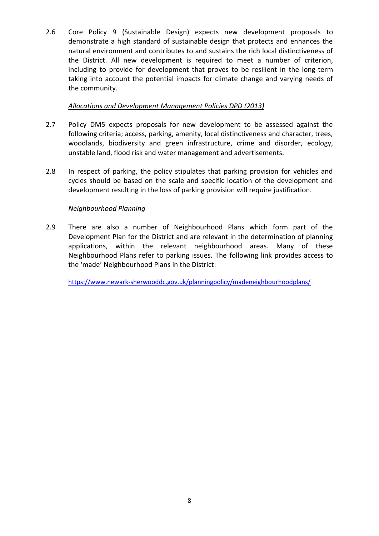2.6 Core Policy 9 (Sustainable Design) expects new development proposals to demonstrate a high standard of sustainable design that protects and enhances the natural environment and contributes to and sustains the rich local distinctiveness of the District. All new development is required to meet a number of criterion, including to provide for development that proves to be resilient in the long-term taking into account the potential impacts for climate change and varying needs of the community.

# *Allocations and Development Management Policies DPD (2013)*

- 2.7 Policy DM5 expects proposals for new development to be assessed against the following criteria; access, parking, amenity, local distinctiveness and character, trees, woodlands, biodiversity and green infrastructure, crime and disorder, ecology, unstable land, flood risk and water management and advertisements.
- 2.8 In respect of parking, the policy stipulates that parking provision for vehicles and cycles should be based on the scale and specific location of the development and development resulting in the loss of parking provision will require justification.

# *Neighbourhood Planning*

2.9 There are also a number of Neighbourhood Plans which form part of the Development Plan for the District and are relevant in the determination of planning applications, within the relevant neighbourhood areas. Many of these Neighbourhood Plans refer to parking issues. The following link provides access to the 'made' Neighbourhood Plans in the District:

<https://www.newark-sherwooddc.gov.uk/planningpolicy/madeneighbourhoodplans/>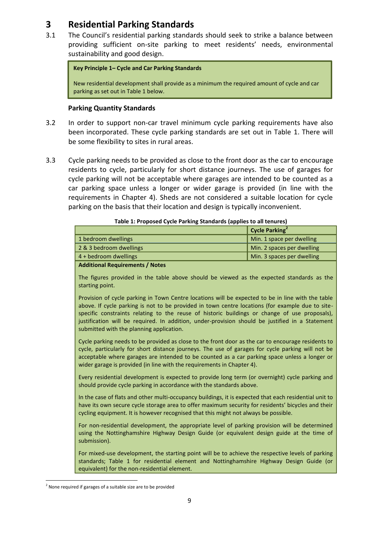# <span id="page-11-0"></span>**3 Residential Parking Standards**

3.1 The Council's residential parking standards should seek to strike a balance between providing sufficient on-site parking to meet residents' needs, environmental sustainability and good design.

```
Key Principle 1– Cycle and Car Parking Standards
```
New residential development shall provide as a minimum the required amount of cycle and car parking as set out in Table 1 below.

# **Parking Quantity Standards**

- <span id="page-11-1"></span>3.2 In order to support non-car travel minimum cycle parking requirements have also been incorporated. These cycle parking standards are set out in Table 1. There will be some flexibility to sites in rural areas.
- 3.3 Cycle parking needs to be provided as close to the front door as the car to encourage residents to cycle, particularly for short distance journeys. The use of garages for cycle parking will not be acceptable where garages are intended to be counted as a car parking space unless a longer or wider garage is provided (in line with the requirements in Chapter 4). Sheds are not considered a suitable location for cycle parking on the basis that their location and design is typically inconvenient.

| Table 1: I Toposca Cycle I arking Standards (applies to an tendres) |                            |
|---------------------------------------------------------------------|----------------------------|
|                                                                     | Cycle Parking <sup>2</sup> |
| 1 bedroom dwellings                                                 | Min. 1 space per dwelling  |
| 2 & 3 bedroom dwellings                                             | Min. 2 spaces per dwelling |
| 4 + bedroom dwellings                                               | Min. 3 spaces per dwelling |
|                                                                     |                            |

### **Table 1: Proposed Cycle Parking Standards (applies to all tenures)**

### **Additional Requirements / Notes**

The figures provided in the table above should be viewed as the expected standards as the starting point.

Provision of cycle parking in Town Centre locations will be expected to be in line with the table above. If cycle parking is not to be provided in town centre locations (for example due to sitespecific constraints relating to the reuse of historic buildings or change of use proposals), justification will be required. In addition, under-provision should be justified in a Statement submitted with the planning application.

Cycle parking needs to be provided as close to the front door as the car to encourage residents to cycle, particularly for short distance journeys. The use of garages for cycle parking will not be acceptable where garages are intended to be counted as a car parking space unless a longer or wider garage is provided (in line with the requirements in Chapter 4).

Every residential development is expected to provide long term (or overnight) cycle parking and should provide cycle parking in accordance with the standards above.

In the case of flats and other multi-occupancy buildings, it is expected that each residential unit to have its own secure cycle storage area to offer maximum security for residents' bicycles and their cycling equipment. It is however recognised that this might not always be possible.

For non-residential development, the appropriate level of parking provision will be determined using the Nottinghamshire Highway Design Guide (or equivalent design guide at the time of submission).

For mixed-use development, the starting point will be to achieve the respective levels of parking standards; Table 1 for residential element and Nottinghamshire Highway Design Guide (or equivalent) for the non-residential element.

 $\overline{\phantom{a}}$ 

 $2$  None required if garages of a suitable size are to be provided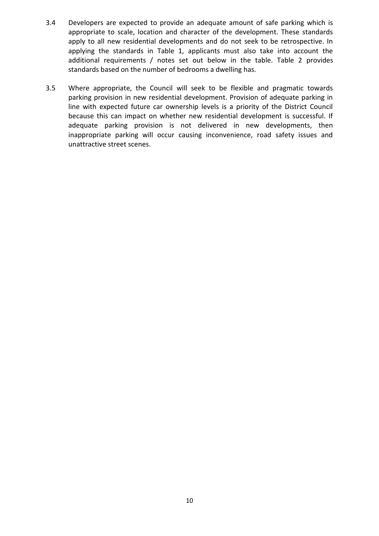- 3.4 Developers are expected to provide an adequate amount of safe parking which is appropriate to scale, location and character of the development. These standards apply to all new residential developments and do not seek to be retrospective. In applying the standards in Table 1, applicants must also take into account the additional requirements / notes set out below in the table. Table 2 provides standards based on the number of bedrooms a dwelling has.
- 3.5 Where appropriate, the Council will seek to be flexible and pragmatic towards parking provision in new residential development. Provision of adequate parking in line with expected future car ownership levels is a priority of the District Council because this can impact on whether new residential development is successful. If adequate parking provision is not delivered in new developments, then inappropriate parking will occur causing inconvenience, road safety issues and unattractive street scenes.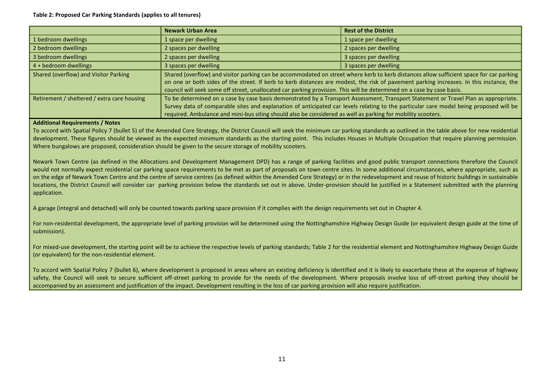#### **Table 2: Proposed Car Parking Standards (applies to all tenures)**

|                                             | <b>Newark Urban Area</b>                                                                                                                                                                                                                                                                                                                                                                                     | <b>Rest of the District</b> |
|---------------------------------------------|--------------------------------------------------------------------------------------------------------------------------------------------------------------------------------------------------------------------------------------------------------------------------------------------------------------------------------------------------------------------------------------------------------------|-----------------------------|
| 1 bedroom dwellings                         | 1 space per dwelling                                                                                                                                                                                                                                                                                                                                                                                         | 1 space per dwelling        |
| 2 bedroom dwellings                         | 2 spaces per dwelling                                                                                                                                                                                                                                                                                                                                                                                        | 2 spaces per dwelling       |
| 3 bedroom dwellings                         | 2 spaces per dwelling                                                                                                                                                                                                                                                                                                                                                                                        | 3 spaces per dwelling       |
| $\vert$ 4 + bedroom dwellings               | 3 spaces per dwelling                                                                                                                                                                                                                                                                                                                                                                                        | 3 spaces per dwelling       |
| Shared (overflow) and Visitor Parking       | Shared (overflow) and visitor parking can be accommodated on street where kerb to kerb distances allow sufficient space for car parking<br>on one or both sides of the street. If kerb to kerb distances are modest, the risk of pavement parking increases. In this instance, the<br>council will seek some off street, unallocated car parking provision. This will be determined on a case by case basis. |                             |
| Retirement / sheltered / extra care housing | To be determined on a case by case basis demonstrated by a Transport Assessment, Transport Statement or Travel Plan as appropriate.<br>Survey data of comparable sites and explanation of anticipated car levels relating to the particular care model being proposed will be<br>required. Ambulance and mini-bus siting should also be considered as well as parking for mobility scooters.                 |                             |

#### **Additional Requirements / Notes**

To accord with Spatial Policy 7 (bullet 5) of the Amended Core Strategy, the District Council will seek the minimum car parking standards as outlined in the table above for new residential development. These figures should be viewed as the expected minimum standards as the starting point. This includes Houses in Multiple Occupation that require planning permission. Where bungalows are proposed, consideration should be given to the secure storage of mobility scooters.

Newark Town Centre (as defined in the Allocations and Development Management DPD) has a range of parking facilities and good public transport connections therefore the Council would not normally expect residential car parking space requirements to be met as part of proposals on town centre sites. In some additional circumstances, where appropriate, such as on the edge of Newark Town Centre and the centre of service centres (as defined within the Amended Core Strategy) or in the redevelopment and reuse of historic buildings in sustainable locations, the District Council will consider car parking provision below the standards set out in above. Under-provision should be justified in a Statement submitted with the planning application.

A garage (integral and detached) will only be counted towards parking space provision if it complies with the design requirements set out in Chapter 4.

For non-residential development, the appropriate level of parking provision will be determined using the Nottinghamshire Highway Design Guide (or equivalent design guide at the time of submission).

For mixed-use development, the starting point will be to achieve the respective levels of parking standards; Table 2 for the residential element and Nottinghamshire Highway Design Guide (or equivalent) for the non-residential element.

To accord with Spatial Policy 7 (bullet 6), where development is proposed in areas where an existing deficiency is identified and it is likely to exacerbate these at the expense of highway safety, the Council will seek to secure sufficient off-street parking to provide for the needs of the development. Where proposals involve loss of off-street parking they should be accompanied by an assessment and justification of the impact. Development resulting in the loss of car parking provision will also require justification.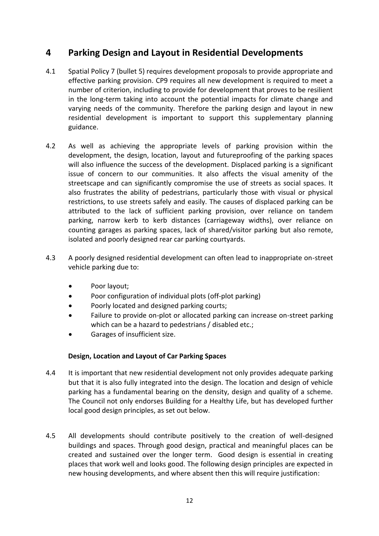# <span id="page-14-0"></span>**4 Parking Design and Layout in Residential Developments**

- 4.1 Spatial Policy 7 (bullet 5) requires development proposals to provide appropriate and effective parking provision. CP9 requires all new development is required to meet a number of criterion, including to provide for development that proves to be resilient in the long-term taking into account the potential impacts for climate change and varying needs of the community. Therefore the parking design and layout in new residential development is important to support this supplementary planning guidance.
- 4.2 As well as achieving the appropriate levels of parking provision within the development, the design, location, layout and futureproofing of the parking spaces will also influence the success of the development. Displaced parking is a significant issue of concern to our communities. It also affects the visual amenity of the streetscape and can significantly compromise the use of streets as social spaces. It also frustrates the ability of pedestrians, particularly those with visual or physical restrictions, to use streets safely and easily. The causes of displaced parking can be attributed to the lack of sufficient parking provision, over reliance on tandem parking, narrow kerb to kerb distances (carriageway widths), over reliance on counting garages as parking spaces, lack of shared/visitor parking but also remote, isolated and poorly designed rear car parking courtyards.
- 4.3 A poorly designed residential development can often lead to inappropriate on-street vehicle parking due to:
	- Poor layout;
	- Poor configuration of individual plots (off-plot parking)
	- Poorly located and designed parking courts;
	- Failure to provide on-plot or allocated parking can increase on-street parking which can be a hazard to pedestrians / disabled etc.;
	- Garages of insufficient size.

# **Design, Location and Layout of Car Parking Spaces**

- <span id="page-14-1"></span>4.4 It is important that new residential development not only provides adequate parking but that it is also fully integrated into the design. The location and design of vehicle parking has a fundamental bearing on the density, design and quality of a scheme. The Council not only endorses Building for a Healthy Life, but has developed further local good design principles, as set out below.
- 4.5 All developments should contribute positively to the creation of well-designed buildings and spaces. Through good design, practical and meaningful places can be created and sustained over the longer term. Good design is essential in creating places that work well and looks good. The following design principles are expected in new housing developments, and where absent then this will require justification: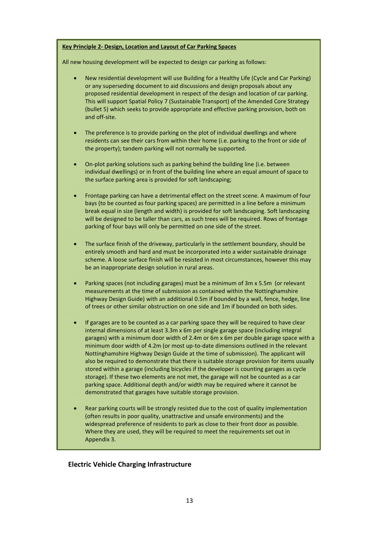#### **Key Principle 2- Design, Location and Layout of Car Parking Spaces**

All new housing development will be expected to design car parking as follows:

- New residential development will use Building for a Healthy Life (Cycle and Car Parking) or any superseding document to aid discussions and design proposals about any proposed residential development in respect of the design and location of car parking. This will support Spatial Policy 7 (Sustainable Transport) of the Amended Core Strategy (bullet 5) which seeks to provide appropriate and effective parking provision, both on and off-site.
- The preference is to provide parking on the plot of individual dwellings and where residents can see their cars from within their home (i.e. parking to the front or side of the property); tandem parking will not normally be supported.
- On-plot parking solutions such as parking behind the building line (i.e. between individual dwellings) or in front of the building line where an equal amount of space to the surface parking area is provided for soft landscaping;
- Frontage parking can have a detrimental effect on the street scene. A maximum of four bays (to be counted as four parking spaces) are permitted in a line before a minimum break equal in size (length and width) is provided for soft landscaping. Soft landscaping will be designed to be taller than cars, as such trees will be required. Rows of frontage parking of four bays will only be permitted on one side of the street.
- The surface finish of the driveway, particularly in the settlement boundary, should be entirely smooth and hard and must be incorporated into a wider sustainable drainage scheme. A loose surface finish will be resisted in most circumstances, however this may be an inappropriate design solution in rural areas.
- Parking spaces (not including garages) must be a minimum of 3m x 5.5m (or relevant measurements at the time of submission as contained within the Nottinghamshire Highway Design Guide) with an additional 0.5m if bounded by a wall, fence, hedge, line of trees or other similar obstruction on one side and 1m if bounded on both sides.
- If garages are to be counted as a car parking space they will be required to have clear internal dimensions of at least 3.3m x 6m per single garage space (including integral garages) with a minimum door width of 2.4m or 6m x 6m per double garage space with a minimum door width of 4.2m (or most up-to-date dimensions outlined in the relevant Nottinghamshire Highway Design Guide at the time of submission). The applicant will also be required to demonstrate that there is suitable storage provision for items usually stored within a garage (including bicycles if the developer is counting garages as cycle storage). If these two elements are not met, the garage will not be counted as a car parking space. Additional depth and/or width may be required where it cannot be demonstrated that garages have suitable storage provision.
- Rear parking courts will be strongly resisted due to the cost of quality implementation (often results in poor quality, unattractive and unsafe environments) and the widespread preference of residents to park as close to their front door as possible. Where they are used, they will be required to meet the requirements set out in Appendix 3.

### <span id="page-15-0"></span>**Electric Vehicle Charging Infrastructure**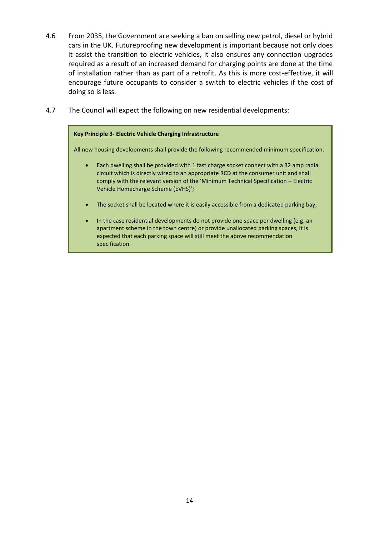- 4.6 From 2035, the Government are seeking a ban on selling new petrol, diesel or hybrid cars in the UK. Futureproofing new development is important because not only does it assist the transition to electric vehicles, it also ensures any connection upgrades required as a result of an increased demand for charging points are done at the time of installation rather than as part of a retrofit. As this is more cost-effective, it will encourage future occupants to consider a switch to electric vehicles if the cost of doing so is less.
- 4.7 The Council will expect the following on new residential developments:

### **Key Principle 3- Electric Vehicle Charging Infrastructure**

All new housing developments shall provide the following recommended minimum specification:

- Each dwelling shall be provided with 1 fast charge socket connect with a 32 amp radial circuit which is directly wired to an appropriate RCD at the consumer unit and shall comply with the relevant version of the 'Minimum Technical Specification – Electric Vehicle Homecharge Scheme (EVHS)';
- The socket shall be located where it is easily accessible from a dedicated parking bay;
- In the case residential developments do not provide one space per dwelling (e.g. an apartment scheme in the town centre) or provide unallocated parking spaces, it is expected that each parking space will still meet the above recommendation specification.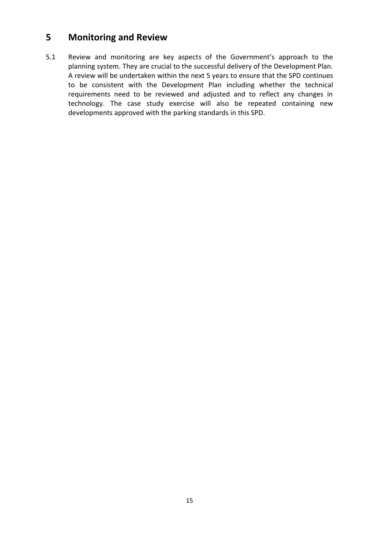# <span id="page-17-0"></span>**5 Monitoring and Review**

5.1 Review and monitoring are key aspects of the Government's approach to the planning system. They are crucial to the successful delivery of the Development Plan. A review will be undertaken within the next 5 years to ensure that the SPD continues to be consistent with the Development Plan including whether the technical requirements need to be reviewed and adjusted and to reflect any changes in technology. The case study exercise will also be repeated containing new developments approved with the parking standards in this SPD.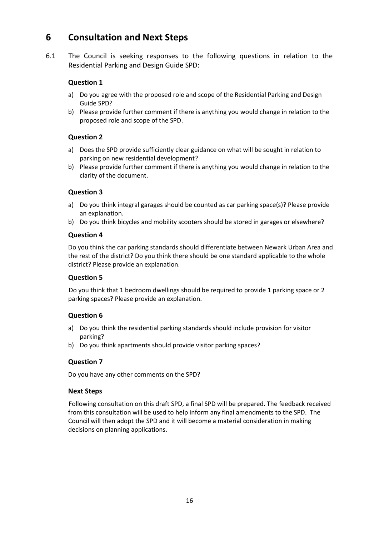# **6 Consultation and Next Steps**

6.1 The Council is seeking responses to the following questions in relation to the Residential Parking and Design Guide SPD:

# **Question 1**

- a) Do you agree with the proposed role and scope of the Residential Parking and Design Guide SPD?
- b) Please provide further comment if there is anything you would change in relation to the proposed role and scope of the SPD.

# **Question 2**

- a) Does the SPD provide sufficiently clear guidance on what will be sought in relation to parking on new residential development?
- b) Please provide further comment if there is anything you would change in relation to the clarity of the document.

# **Question 3**

- a) Do you think integral garages should be counted as car parking space(s)? Please provide an explanation.
- b) Do you think bicycles and mobility scooters should be stored in garages or elsewhere?

### **Question 4**

Do you think the car parking standards should differentiate between Newark Urban Area and the rest of the district? Do you think there should be one standard applicable to the whole district? Please provide an explanation.

# **Question 5**

Do you think that 1 bedroom dwellings should be required to provide 1 parking space or 2 parking spaces? Please provide an explanation.

# **Question 6**

- a) Do you think the residential parking standards should include provision for visitor parking?
- b) Do you think apartments should provide visitor parking spaces?

# **Question 7**

Do you have any other comments on the SPD?

# **Next Steps**

Following consultation on this draft SPD, a final SPD will be prepared. The feedback received from this consultation will be used to help inform any final amendments to the SPD. The Council will then adopt the SPD and it will become a material consideration in making decisions on planning applications.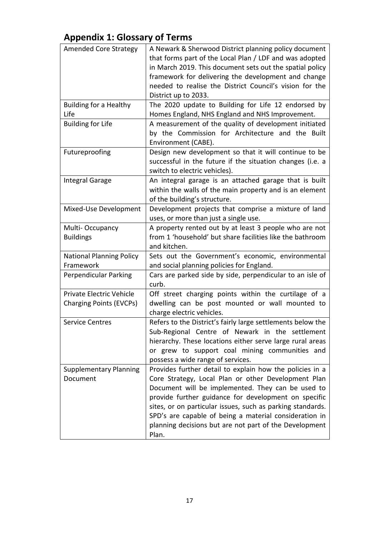# <span id="page-19-0"></span>**Appendix 1: Glossary of Terms**

| <b>Amended Core Strategy</b>                               | A Newark & Sherwood District planning policy document<br>that forms part of the Local Plan / LDF and was adopted<br>in March 2019. This document sets out the spatial policy<br>framework for delivering the development and change<br>needed to realise the District Council's vision for the<br>District up to 2033.                                                                                                  |
|------------------------------------------------------------|-------------------------------------------------------------------------------------------------------------------------------------------------------------------------------------------------------------------------------------------------------------------------------------------------------------------------------------------------------------------------------------------------------------------------|
| <b>Building for a Healthy</b><br>Life                      | The 2020 update to Building for Life 12 endorsed by<br>Homes England, NHS England and NHS Improvement.                                                                                                                                                                                                                                                                                                                  |
| <b>Building for Life</b>                                   | A measurement of the quality of development initiated<br>by the Commission for Architecture and the Built<br>Environment (CABE).                                                                                                                                                                                                                                                                                        |
| Futureproofing                                             | Design new development so that it will continue to be<br>successful in the future if the situation changes (i.e. a<br>switch to electric vehicles).                                                                                                                                                                                                                                                                     |
| <b>Integral Garage</b>                                     | An integral garage is an attached garage that is built<br>within the walls of the main property and is an element<br>of the building's structure.                                                                                                                                                                                                                                                                       |
| Mixed-Use Development                                      | Development projects that comprise a mixture of land<br>uses, or more than just a single use.                                                                                                                                                                                                                                                                                                                           |
| Multi-Occupancy<br><b>Buildings</b>                        | A property rented out by at least 3 people who are not<br>from 1 'household' but share facilities like the bathroom<br>and kitchen.                                                                                                                                                                                                                                                                                     |
| <b>National Planning Policy</b><br>Framework               | Sets out the Government's economic, environmental<br>and social planning policies for England.                                                                                                                                                                                                                                                                                                                          |
| Perpendicular Parking                                      | Cars are parked side by side, perpendicular to an isle of<br>curb.                                                                                                                                                                                                                                                                                                                                                      |
| Private Electric Vehicle<br><b>Charging Points (EVCPs)</b> | Off street charging points within the curtilage of a<br>dwelling can be post mounted or wall mounted to<br>charge electric vehicles.                                                                                                                                                                                                                                                                                    |
| <b>Service Centres</b>                                     | Refers to the District's fairly large settlements below the<br>Sub-Regional Centre of Newark in the settlement<br>hierarchy. These locations either serve large rural areas<br>or grew to support coal mining communities and<br>possess a wide range of services.                                                                                                                                                      |
| <b>Supplementary Planning</b><br>Document                  | Provides further detail to explain how the policies in a<br>Core Strategy, Local Plan or other Development Plan<br>Document will be implemented. They can be used to<br>provide further guidance for development on specific<br>sites, or on particular issues, such as parking standards.<br>SPD's are capable of being a material consideration in<br>planning decisions but are not part of the Development<br>Plan. |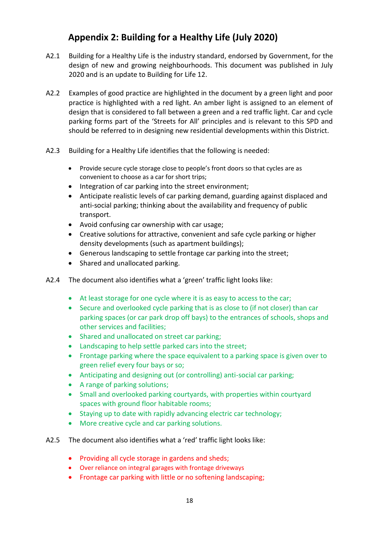# **Appendix 2: Building for a Healthy Life (July 2020)**

- <span id="page-20-0"></span>A2.1 Building for a Healthy Life is the industry standard, endorsed by Government, for the design of new and growing neighbourhoods. This document was published in July 2020 and is an update to Building for Life 12.
- A2.2 Examples of good practice are highlighted in the document by a green light and poor practice is highlighted with a red light. An amber light is assigned to an element of design that is considered to fall between a green and a red traffic light. Car and cycle parking forms part of the 'Streets for All' principles and is relevant to this SPD and should be referred to in designing new residential developments within this District.
- A2.3 Building for a Healthy Life identifies that the following is needed:
	- Provide secure cycle storage close to people's front doors so that cycles are as convenient to choose as a car for short trips;
	- Integration of car parking into the street environment;
	- Anticipate realistic levels of car parking demand, guarding against displaced and anti-social parking; thinking about the availability and frequency of public transport.
	- Avoid confusing car ownership with car usage;
	- Creative solutions for attractive, convenient and safe cycle parking or higher density developments (such as apartment buildings);
	- Generous landscaping to settle frontage car parking into the street;
	- Shared and unallocated parking.
- A2.4 The document also identifies what a 'green' traffic light looks like:
	- At least storage for one cycle where it is as easy to access to the car;
	- Secure and overlooked cycle parking that is as close to (if not closer) than car parking spaces (or car park drop off bays) to the entrances of schools, shops and other services and facilities;
	- Shared and unallocated on street car parking;
	- Landscaping to help settle parked cars into the street:
	- Frontage parking where the space equivalent to a parking space is given over to green relief every four bays or so;
	- Anticipating and designing out (or controlling) anti-social car parking;
	- A range of parking solutions;
	- Small and overlooked parking courtyards, with properties within courtyard spaces with ground floor habitable rooms;
	- Staying up to date with rapidly advancing electric car technology;
	- More creative cycle and car parking solutions.
- A2.5 The document also identifies what a 'red' traffic light looks like:
	- Providing all cycle storage in gardens and sheds;
	- Over reliance on integral garages with frontage driveways
	- Frontage car parking with little or no softening landscaping;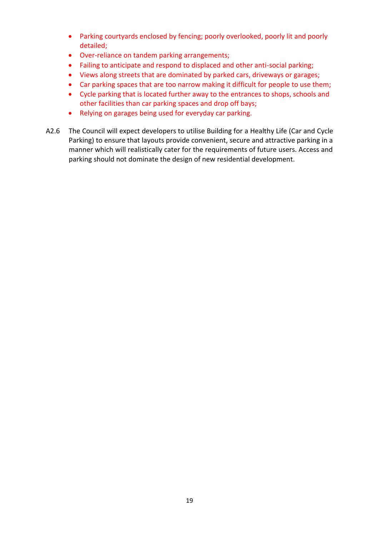- Parking courtyards enclosed by fencing; poorly overlooked, poorly lit and poorly detailed;
- Over-reliance on tandem parking arrangements;
- Failing to anticipate and respond to displaced and other anti-social parking;
- Views along streets that are dominated by parked cars, driveways or garages;
- Car parking spaces that are too narrow making it difficult for people to use them;
- Cycle parking that is located further away to the entrances to shops, schools and other facilities than car parking spaces and drop off bays;
- Relying on garages being used for everyday car parking.
- A2.6 The Council will expect developers to utilise Building for a Healthy Life (Car and Cycle Parking) to ensure that layouts provide convenient, secure and attractive parking in a manner which will realistically cater for the requirements of future users. Access and parking should not dominate the design of new residential development.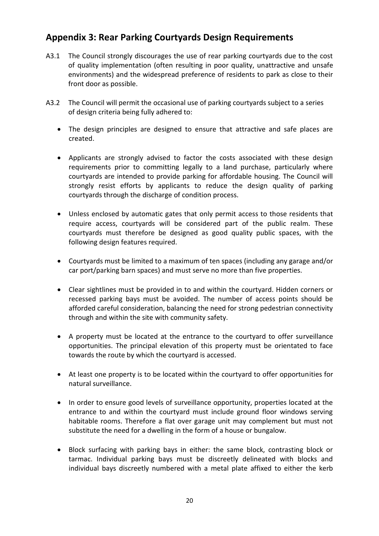# **Appendix 3: Rear Parking Courtyards Design Requirements**

- A3.1 The Council strongly discourages the use of rear parking courtyards due to the cost of quality implementation (often resulting in poor quality, unattractive and unsafe environments) and the widespread preference of residents to park as close to their front door as possible.
- A3.2 The Council will permit the occasional use of parking courtyards subject to a series of design criteria being fully adhered to:
	- The design principles are designed to ensure that attractive and safe places are created.
	- Applicants are strongly advised to factor the costs associated with these design requirements prior to committing legally to a land purchase, particularly where courtyards are intended to provide parking for affordable housing. The Council will strongly resist efforts by applicants to reduce the design quality of parking courtyards through the discharge of condition process.
	- Unless enclosed by automatic gates that only permit access to those residents that require access, courtyards will be considered part of the public realm. These courtyards must therefore be designed as good quality public spaces, with the following design features required.
	- Courtyards must be limited to a maximum of ten spaces (including any garage and/or car port/parking barn spaces) and must serve no more than five properties.
	- Clear sightlines must be provided in to and within the courtyard. Hidden corners or recessed parking bays must be avoided. The number of access points should be afforded careful consideration, balancing the need for strong pedestrian connectivity through and within the site with community safety.
	- A property must be located at the entrance to the courtyard to offer surveillance opportunities. The principal elevation of this property must be orientated to face towards the route by which the courtyard is accessed.
	- At least one property is to be located within the courtyard to offer opportunities for natural surveillance.
	- In order to ensure good levels of surveillance opportunity, properties located at the entrance to and within the courtyard must include ground floor windows serving habitable rooms. Therefore a flat over garage unit may complement but must not substitute the need for a dwelling in the form of a house or bungalow.
	- Block surfacing with parking bays in either: the same block, contrasting block or tarmac. Individual parking bays must be discreetly delineated with blocks and individual bays discreetly numbered with a metal plate affixed to either the kerb